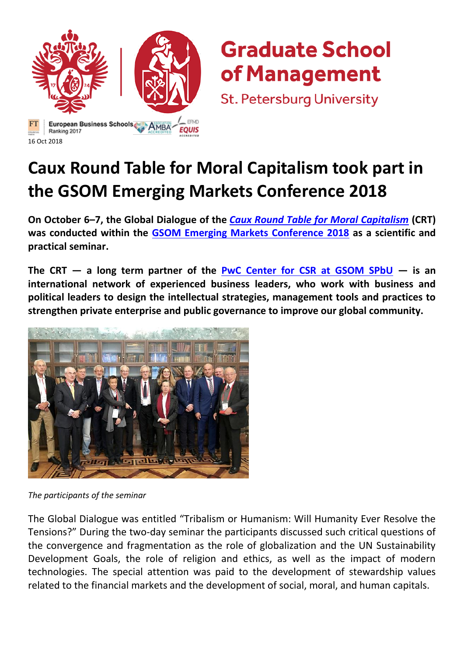

## **Graduate School** of Management

**St. Petersburg University** 

## **Caux Round Table for Moral Capitalism took part in the GSOM Emerging Markets Conference 2018**

**On October 6–7, the Global Dialogue of the** *[Caux Round Table for Moral Capitalism](http://www.cauxroundtable.org/)* **(CRT) was conducted within the [GSOM Emerging Markets Conference 2018](https://gsom.spbu.ru/en/gsom/research/conferences/emc/) as a scientific and practical seminar.**

**The CRT — a long term partner of the [PwC Center for CSR at GSOM SPbU](https://gsom.spbu.ru/en/gsom/centers/csr/) — is an international network of experienced business leaders, who work with business and political leaders to design the intellectual strategies, management tools and practices to strengthen private enterprise and public governance to improve our global community.**



*The participants of the seminar*

The Global Dialogue was entitled "Tribalism or Humanism: Will Humanity Ever Resolve the Tensions?" During the two-day seminar the participants discussed such critical questions of the convergence and fragmentation as the role of globalization and the UN Sustainability Development Goals, the role of religion and ethics, as well as the impact of modern technologies. The special attention was paid to the development of stewardship values related to the financial markets and the development of social, moral, and human capitals.